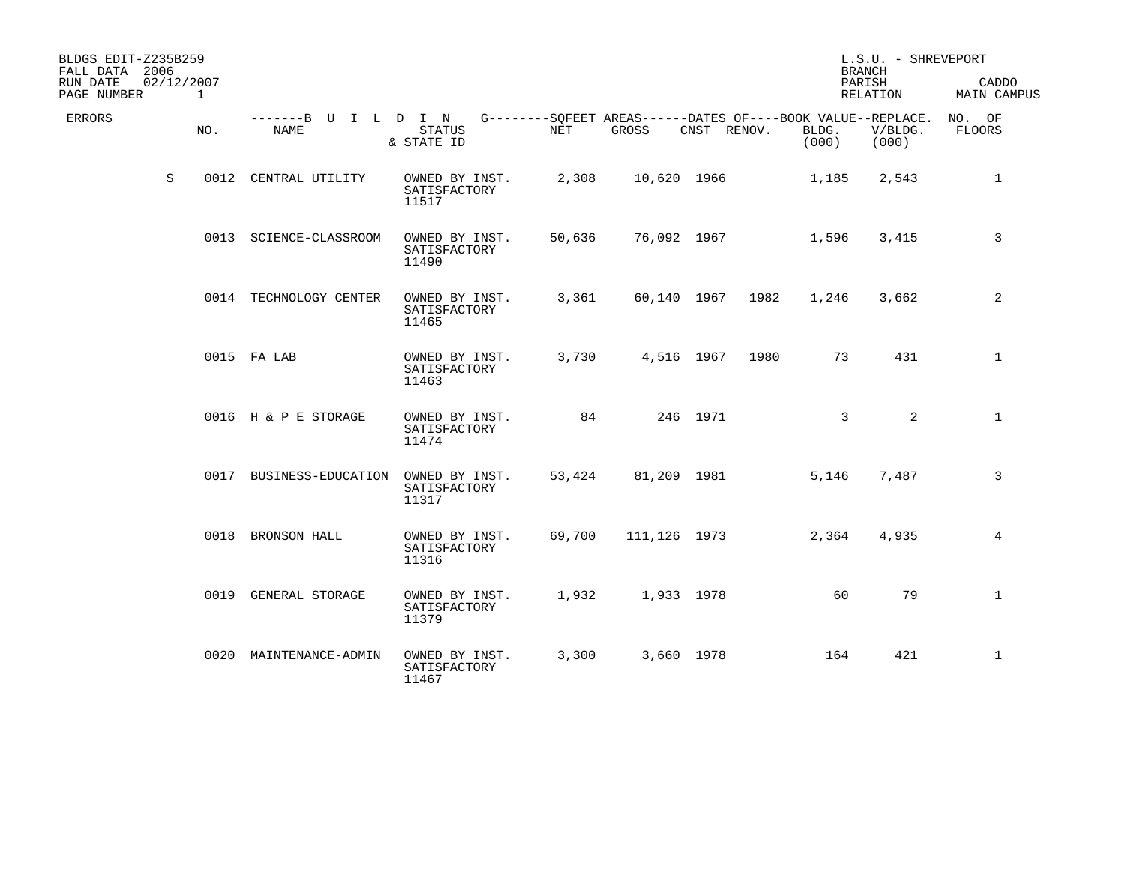| BLDGS EDIT-Z235B259<br>FALL DATA 2006<br>RUN DATE<br>02/12/2007<br>PAGE NUMBER<br>$\mathbf{1}$ |                              |                                         |            |              |             |      |                                                                               | L.S.U. - SHREVEPORT<br><b>BRANCH</b><br>PARISH<br>RELATION | CADDO<br><b>MAIN CAMPUS</b> |
|------------------------------------------------------------------------------------------------|------------------------------|-----------------------------------------|------------|--------------|-------------|------|-------------------------------------------------------------------------------|------------------------------------------------------------|-----------------------------|
| <b>ERRORS</b><br>NO.                                                                           | -------B U I L D I N<br>NAME | STATUS<br>& STATE ID                    | <b>NET</b> | GROSS        | CNST RENOV. |      | G--------SQFEET AREAS------DATES OF----BOOK VALUE--REPLACE.<br>BLDG.<br>(000) | V/BLDG.<br>(000)                                           | NO. OF<br>FLOORS            |
| S<br>0012                                                                                      | CENTRAL UTILITY              | OWNED BY INST.<br>SATISFACTORY<br>11517 | 2,308      | 10,620 1966  |             |      | 1,185                                                                         | 2,543                                                      | $\mathbf{1}$                |
|                                                                                                | 0013 SCIENCE-CLASSROOM       | OWNED BY INST.<br>SATISFACTORY<br>11490 | 50,636     | 76,092 1967  |             |      | 1,596                                                                         | 3,415                                                      | 3                           |
|                                                                                                | 0014 TECHNOLOGY CENTER       | OWNED BY INST.<br>SATISFACTORY<br>11465 | 3,361      | 60,140 1967  |             | 1982 | 1,246                                                                         | 3,662                                                      | 2                           |
|                                                                                                | 0015 FA LAB                  | OWNED BY INST.<br>SATISFACTORY<br>11463 | 3,730      | 4,516 1967   |             | 1980 | 73                                                                            | 431                                                        | $\mathbf{1}$                |
|                                                                                                | 0016 H & P E STORAGE         | OWNED BY INST.<br>SATISFACTORY<br>11474 | 84         |              | 246 1971    |      | 3                                                                             | 2                                                          | $\mathbf{1}$                |
|                                                                                                | 0017 BUSINESS-EDUCATION      | OWNED BY INST.<br>SATISFACTORY<br>11317 | 53,424     | 81,209 1981  |             |      | 5,146                                                                         | 7,487                                                      | 3                           |
|                                                                                                | 0018 BRONSON HALL            | OWNED BY INST.<br>SATISFACTORY<br>11316 | 69,700     | 111,126 1973 |             |      | 2,364                                                                         | 4,935                                                      | 4                           |
|                                                                                                | 0019 GENERAL STORAGE         | OWNED BY INST.<br>SATISFACTORY<br>11379 | 1,932      | 1,933 1978   |             |      | 60                                                                            | 79                                                         | $\mathbf 1$                 |
| 0020                                                                                           | MAINTENANCE-ADMIN            | OWNED BY INST.<br>SATISFACTORY<br>11467 | 3,300      |              | 3,660 1978  |      | 164                                                                           | 421                                                        | $\mathbf 1$                 |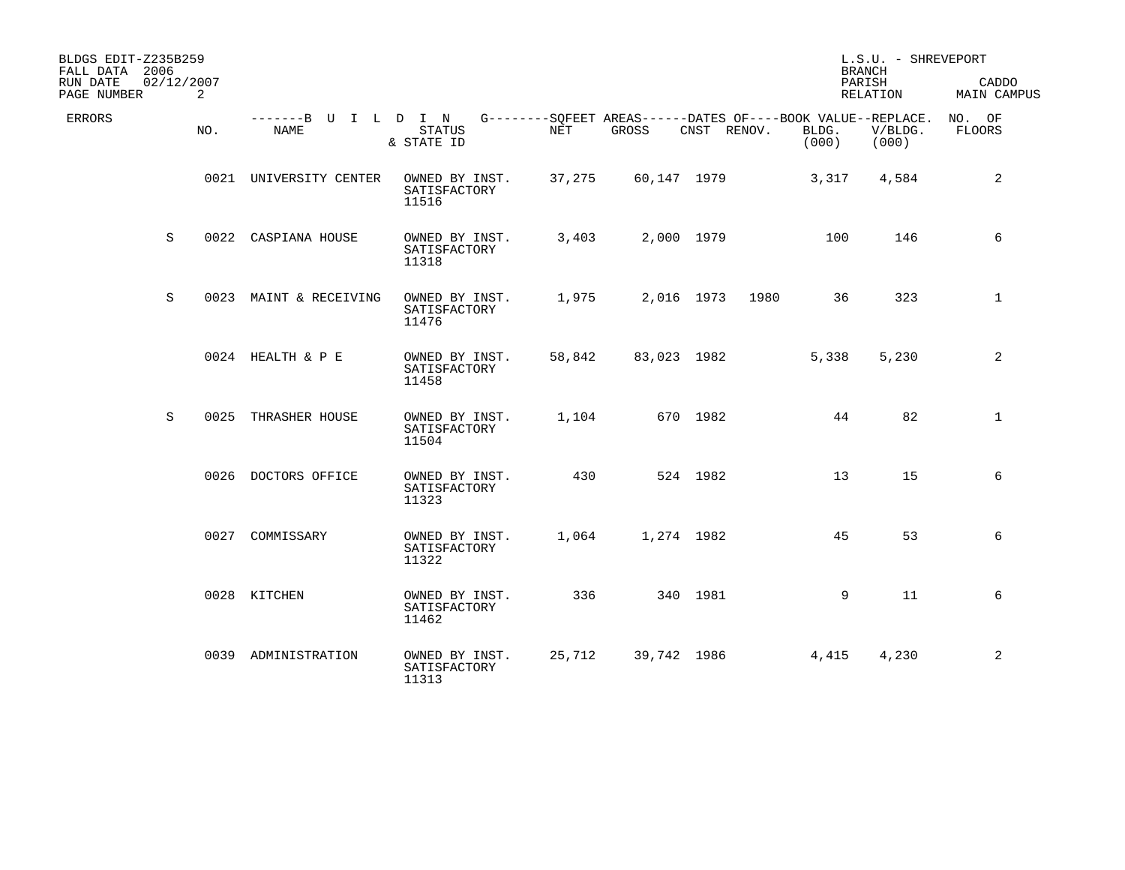| BLDGS EDIT-Z235B259<br>FALL DATA 2006<br>RUN DATE | 02/12/2007 |     |                                     |                                         |                                                                           |              |             |      |                | L.S.U. - SHREVEPORT<br><b>BRANCH</b><br>PARISH | CADDO            |
|---------------------------------------------------|------------|-----|-------------------------------------|-----------------------------------------|---------------------------------------------------------------------------|--------------|-------------|------|----------------|------------------------------------------------|------------------|
| PAGE NUMBER                                       |            | 2   |                                     |                                         |                                                                           |              |             |      |                | RELATION                                       | MAIN CAMPUS      |
| <b>ERRORS</b>                                     |            | NO. | -------B U I L D I N<br><b>NAME</b> | <b>STATUS</b><br>& STATE ID             | G--------SOFEET AREAS------DATES OF----BOOK VALUE--REPLACE.<br><b>NET</b> | <b>GROSS</b> | CNST RENOV. |      | BLDG.<br>(000) | V/BLDG.<br>(000)                               | NO. OF<br>FLOORS |
|                                                   |            |     | 0021 UNIVERSITY CENTER              | OWNED BY INST.<br>SATISFACTORY<br>11516 | 37,275                                                                    | 60,147 1979  |             |      | 3,317          | 4,584                                          | 2                |
|                                                   | S          |     | 0022 CASPIANA HOUSE                 | OWNED BY INST.<br>SATISFACTORY<br>11318 | 3,403                                                                     | 2,000 1979   |             |      | 100            | 146                                            | 6                |
|                                                   | S          |     | 0023 MAINT & RECEIVING              | OWNED BY INST.<br>SATISFACTORY<br>11476 | 1,975                                                                     | 2,016 1973   |             | 1980 | 36             | 323                                            | $\mathbf{1}$     |
|                                                   |            |     | 0024 HEALTH & P E                   | OWNED BY INST.<br>SATISFACTORY<br>11458 | 58,842                                                                    | 83,023 1982  |             |      | 5,338          | 5,230                                          | 2                |
|                                                   | S          |     | 0025 THRASHER HOUSE                 | OWNED BY INST.<br>SATISFACTORY<br>11504 | 1,104                                                                     |              | 670 1982    |      | 44             | 82                                             | $\mathbf{1}$     |
|                                                   |            |     | 0026 DOCTORS OFFICE                 | OWNED BY INST.<br>SATISFACTORY<br>11323 | 430                                                                       |              | 524 1982    |      | 13             | 15                                             | 6                |
|                                                   |            |     | 0027 COMMISSARY                     | OWNED BY INST.<br>SATISFACTORY<br>11322 | 1,064                                                                     | 1,274 1982   |             |      | 45             | 53                                             | 6                |
|                                                   |            |     | 0028 KITCHEN                        | OWNED BY INST.<br>SATISFACTORY<br>11462 | 336                                                                       |              | 340 1981    |      | 9              | 11                                             | 6                |
|                                                   |            |     | 0039 ADMINISTRATION                 | OWNED BY INST.<br>SATISFACTORY<br>11313 | 25,712                                                                    | 39,742 1986  |             |      | 4,415          | 4,230                                          | 2                |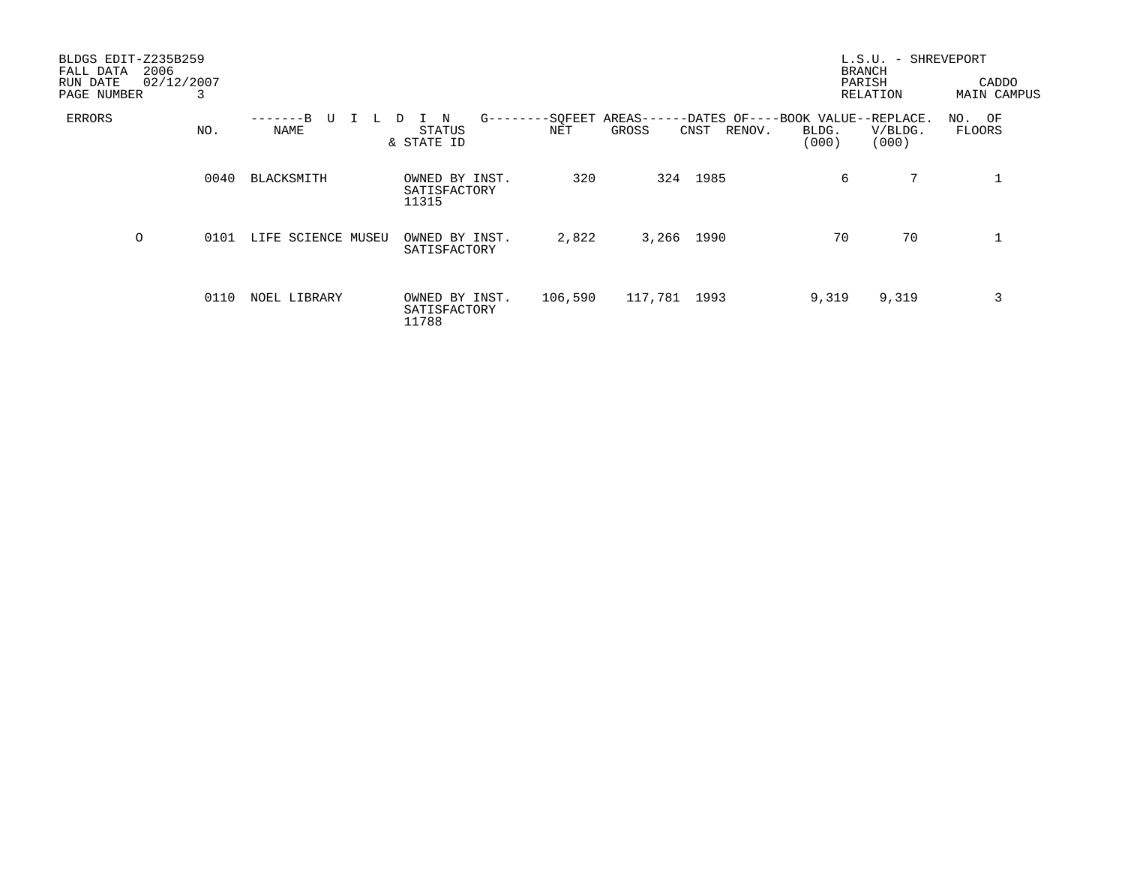| BLDGS EDIT-Z235B259<br>2006<br>FALL DATA<br>RUN DATE<br>PAGE NUMBER | 02/12/2007<br>3 |                        |                                             |         |                                              | <b>BRANCH</b><br>PARISH                             | L.S.U. - SHREVEPORT<br>RELATION | CADDO<br><b>MAIN CAMPUS</b> |
|---------------------------------------------------------------------|-----------------|------------------------|---------------------------------------------|---------|----------------------------------------------|-----------------------------------------------------|---------------------------------|-----------------------------|
| ERRORS                                                              | NO.             | $-R$<br>U<br>┶<br>NAME | $G$ -----<br>N<br>D<br>STATUS<br>& STATE ID | NET     | -SQFEET AREAS----<br>GROSS<br>RENOV.<br>CNST | -DATES OF----BOOK VALUE--REPLACE.<br>BLDG.<br>(000) | V/BLDG.<br>(000)                | NO. OF<br>FLOORS            |
|                                                                     | 0040            | BLACKSMITH             | OWNED BY INST.<br>SATISFACTORY<br>11315     | 320     | 324 1985                                     | 6                                                   | 7                               | 1                           |
| O                                                                   | 0101            | LIFE SCIENCE MUSEU     | OWNED BY INST.<br>SATISFACTORY              | 2,822   | 3,266 1990                                   | 70                                                  | 70                              | $\mathbf 1$                 |
|                                                                     | 0110            | NOEL LIBRARY           | OWNED BY INST.<br>SATISFACTORY<br>11788     | 106,590 | 117,781 1993                                 | 9,319                                               | 9,319                           | 3                           |